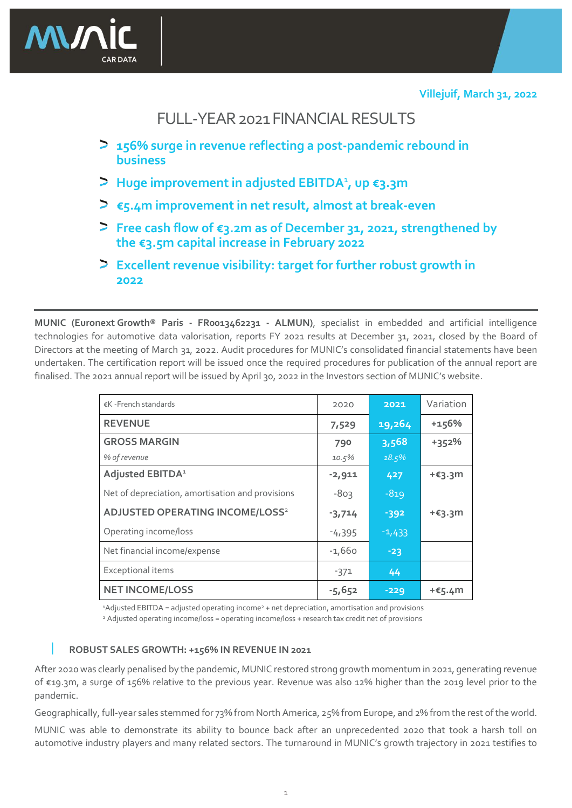

# FULL-YEAR 2021 FINANCIAL RESULTS

- **156% surge in revenue reflecting a post-pandemic rebound in business**
- **Huge improvement in adjusted EBITDA**<sup>1</sup> **, up €3.3m**
- **€5.4m improvement in net result, almost at break-even**
- **Free cash flow of €3.2m as of December 31, 2021, strengthened by the €3.5m capital increase in February 2022**
- **Excellent revenue visibility: target for further robust growth in 2022**

**MUNIC (Euronext Growth® Paris - FR0013462231 - ALMUN)**, specialist in embedded and artificial intelligence technologies for automotive data valorisation, reports FY 2021 results at December 31, 2021, closed by the Board of Directors at the meeting of March 31, 2022. Audit procedures for MUNIC's consolidated financial statements have been undertaken. The certification report will be issued once the required procedures for publication of the annual report are finalised. The 2021 annual report will be issued by April 30, 2022 in the Investors section of MUNIC's website.

| €K - French standards                             | 2020     | 2021     | Variation         |
|---------------------------------------------------|----------|----------|-------------------|
| <b>REVENUE</b>                                    | 7,529    | 19,264   | $+156%$           |
| <b>GROSS MARGIN</b>                               | 790      | 3,568    | $+352%$           |
| % of revenue                                      | 10.5%    | 18.5%    |                   |
| Adjusted EBITDA <sup>1</sup>                      | $-2,911$ | 427      | $+ \epsilon$ 3.3m |
| Net of depreciation, amortisation and provisions  | $-803$   | $-819$   |                   |
| <b>ADJUSTED OPERATING INCOME/LOSS<sup>2</sup></b> | $-3,714$ | $-392$   | $+ \epsilon$ 3.3m |
| Operating income/loss                             | $-4,395$ | $-1,433$ |                   |
| Net financial income/expense                      | $-1,660$ | $-23$    |                   |
| Exceptional items                                 | $-371$   | 44       |                   |
| <b>NET INCOME/LOSS</b>                            | $-5,652$ | $-229$   | +€5.4m            |

<sup>1</sup>Adjusted EBITDA = adjusted operating income<sup>2</sup> + net depreciation, amortisation and provisions <sup>2</sup> Adjusted operating income/loss = operating income/loss + research tax credit net of provisions

## **ROBUST SALES GROWTH: +156% IN REVENUE IN 2021**

After 2020 was clearly penalised by the pandemic, MUNIC restored strong growth momentum in 2021, generating revenue of €19.3m, a surge of 156% relative to the previous year. Revenue was also 12% higher than the 2019 level prior to the pandemic.

Geographically, full-year sales stemmed for 73% from North America, 25% from Europe, and 2% from the rest of the world.

MUNIC was able to demonstrate its ability to bounce back after an unprecedented 2020 that took a harsh toll on automotive industry players and many related sectors. The turnaround in MUNIC's growth trajectory in 2021 testifies to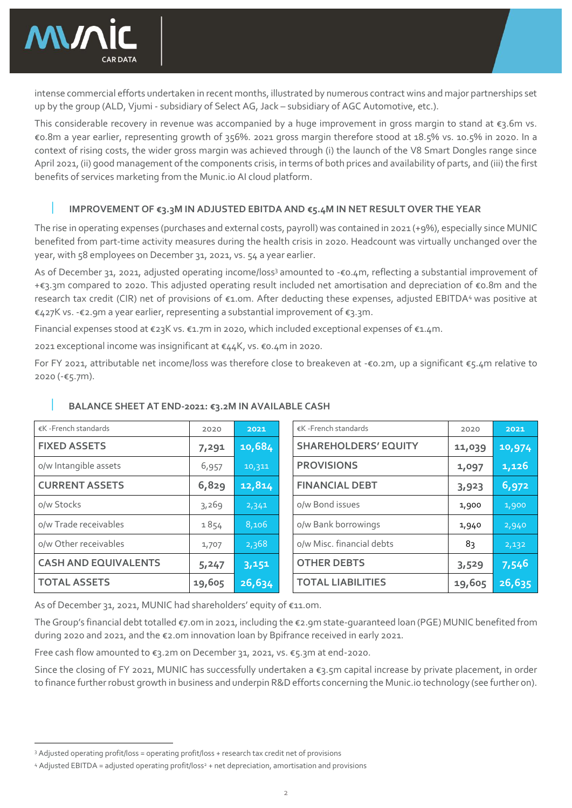

intense commercial efforts undertaken in recent months, illustrated by numerous contract wins and major partnerships set up by the group (ALD, Vjumi - subsidiary of Select AG, Jack – subsidiary of AGC Automotive, etc.).

This considerable recovery in revenue was accompanied by a huge improvement in gross margin to stand at €3.6m vs. €0.8m a year earlier, representing growth of 356%. 2021 gross margin therefore stood at 18.5% vs. 10.5% in 2020. In a context of rising costs, the wider gross margin was achieved through (i) the launch of the V8 Smart Dongles range since April 2021, (ii) good management of the components crisis, in terms of both prices and availability of parts, and (iii) the first benefits of services marketing from the Munic.io AI cloud platform.

### **IMPROVEMENT OF €3.3M IN ADJUSTED EBITDA AND €5.4M IN NET RESULT OVER THE YEAR**

The rise in operating expenses (purchases and external costs, payroll) was contained in 2021 (+9%), especially since MUNIC benefited from part-time activity measures during the health crisis in 2020. Headcount was virtually unchanged over the year, with 58 employees on December 31, 2021, vs. 54 a year earlier.

As of December 31, 2021, adjusted operating income/loss<sup>3</sup> amounted to -€0.4m, reflecting a substantial improvement of +€3.3m compared to 2020. This adjusted operating result included net amortisation and depreciation of €0.8m and the research tax credit (CIR) net of provisions of €1.0m. After deducting these expenses, adjusted EBITDA<sup>4</sup> was positive at €427K vs. -€2.9m a year earlier, representing a substantial improvement of €3.3m.

Financial expenses stood at €23K vs. €1.7m in 2020, which included exceptional expenses of €1.4m.

2021 exceptional income was insignificant at €44K, vs. €0.4m in 2020.

For FY 2021, attributable net income/loss was therefore close to breakeven at -€0.2m, up a significant €5.4m relative to 2020 (-€5.7m).

| €K - French standards       | 2020   | 2021   | €K - French standards       | 2020   | 2021   |
|-----------------------------|--------|--------|-----------------------------|--------|--------|
| <b>FIXED ASSETS</b>         | 7,291  | 10,684 | <b>SHAREHOLDERS' EQUITY</b> | 11,039 | 10,974 |
| o/w Intangible assets       | 6,957  | 10,311 | <b>PROVISIONS</b>           | 1,097  | 1,126  |
| <b>CURRENT ASSETS</b>       | 6,829  | 12,814 | <b>FINANCIAL DEBT</b>       | 3,923  | 6,972  |
| o/w Stocks                  | 3,269  | 2,341  | o/w Bond issues             | 1,900  | 1,900  |
| o/w Trade receivables       | 1854   | 8,106  | o/w Bank borrowings         | 1,940  | 2,940  |
| o/w Other receivables       | 1,707  | 2,368  | o/w Misc. financial debts   | 83     | 2,132  |
| <b>CASH AND EQUIVALENTS</b> | 5,247  | 3,151  | <b>OTHER DEBTS</b>          | 3,529  | 7,546  |
| <b>TOTAL ASSETS</b>         | 19,605 | 26,634 | <b>TOTAL LIABILITIES</b>    | 19,605 | 26,635 |

### **BALANCE SHEET AT END-2021: €3.2M IN AVAILABLE CASH**

As of December 31, 2021, MUNIC had shareholders' equity of €11.0m.

The Group's financial debt totalled €7.0m in 2021, including the €2.9m state-guaranteed loan (PGE) MUNIC benefited from during 2020 and 2021, and the €2.0m innovation loan by Bpifrance received in early 2021.

Free cash flow amounted to €3.2m on December 31, 2021, vs. €5.3m at end-2020.

Since the closing of FY 2021, MUNIC has successfully undertaken a €3.5m capital increase by private placement, in order to finance further robust growth in business and underpin R&D efforts concerning the Munic.io technology (see further on).

<sup>3</sup> Adjusted operating profit/loss = operating profit/loss + research tax credit net of provisions

<sup>&</sup>lt;sup>4</sup> Adjusted EBITDA = adjusted operating profit/loss<sup>2</sup> + net depreciation, amortisation and provisions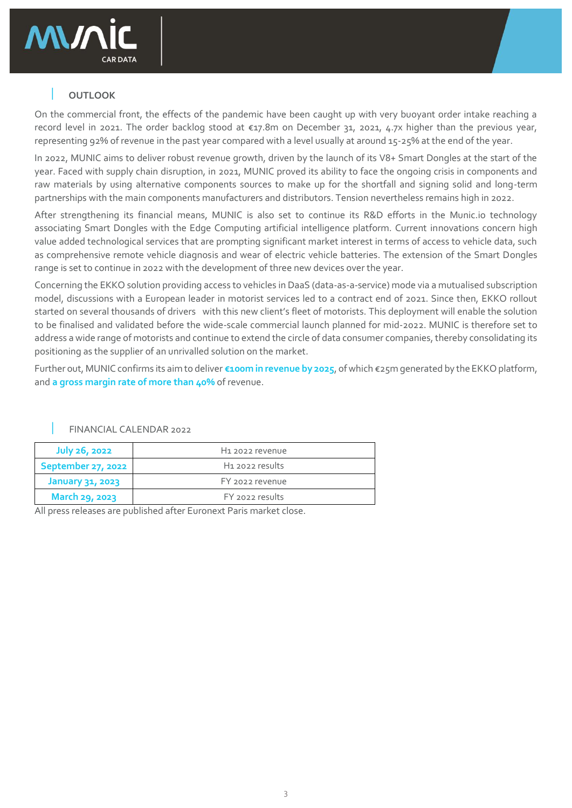

## **OUTLOOK**

On the commercial front, the effects of the pandemic have been caught up with very buoyant order intake reaching a record level in 2021. The order backlog stood at €17.8m on December 31, 2021, 4.7x higher than the previous year, representing 92% of revenue in the past year compared with a level usually at around 15-25% at the end of the year.

In 2022, MUNIC aims to deliver robust revenue growth, driven by the launch of its V8+ Smart Dongles at the start of the year. Faced with supply chain disruption, in 2021, MUNIC proved its ability to face the ongoing crisis in components and raw materials by using alternative components sources to make up for the shortfall and signing solid and long-term partnerships with the main components manufacturers and distributors. Tension nevertheless remains high in 2022.

After strengthening its financial means, MUNIC is also set to continue its R&D efforts in the Munic.io technology associating Smart Dongles with the Edge Computing artificial intelligence platform. Current innovations concern high value added technological services that are prompting significant market interest in terms of access to vehicle data, such as comprehensive remote vehicle diagnosis and wear of electric vehicle batteries. The extension of the Smart Dongles range is set to continue in 2022 with the development of three new devices over the year.

Concerning the EKKO solution providing access to vehicles in DaaS (data-as-a-service) mode via a mutualised subscription model, discussions with a European leader in motorist services led to a contract end of 2021. Since then, EKKO rollout started on several thousands of drivers with this new client's fleet of motorists. This deployment will enable the solution to be finalised and validated before the wide-scale commercial launch planned for mid-2022. MUNIC is therefore set to address a wide range of motorists and continue to extend the circle of data consumer companies, thereby consolidating its positioning as the supplier of an unrivalled solution on the market.

Further out, MUNIC confirms its aim to deliver **€100m in revenue by 2025**, of which €25m generated by the EKKO platform, and **a gross margin rate of more than 40%** of revenue.

| <b>July 26, 2022</b> | H <sub>1</sub> 2022 revenue |
|----------------------|-----------------------------|
| September 27, 2022   | H <sub>1</sub> 2022 results |
| January 31, 2023     | FY 2022 revenue             |
| March 29, 2023       | FY 2022 results             |

FINANCIAL CALENDAR 2022

All press releases are published after Euronext Paris market close.